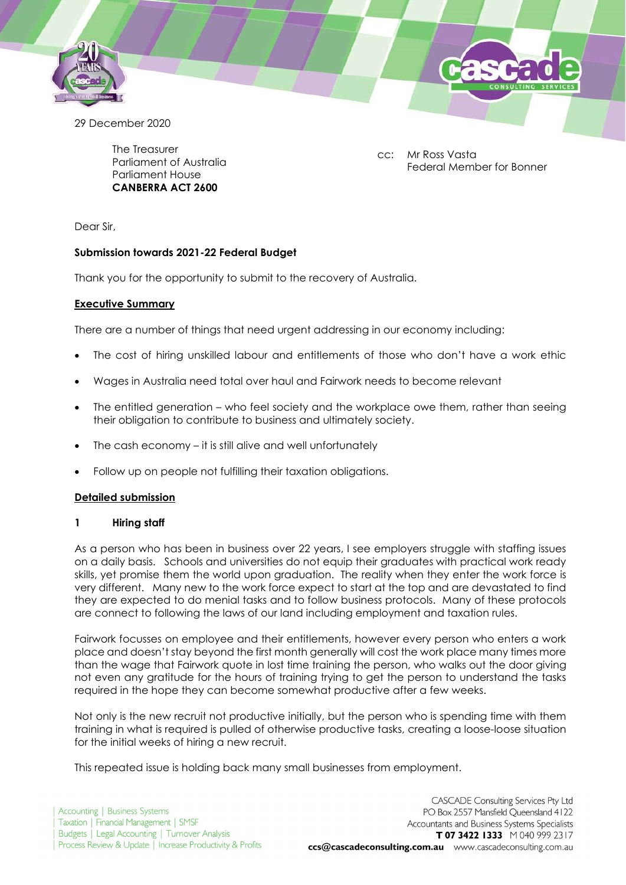

29 December 2020

The Treasurer Parliament of Australia Parliament House CANBERRA ACT 2600

cc: Mr Ross Vasta Federal Member for Bonner

Dear Sir,

# Submission towards 2021-22 Federal Budget

Thank you for the opportunity to submit to the recovery of Australia.

### Executive Summary

There are a number of things that need urgent addressing in our economy including:

- The cost of hiring unskilled labour and entitlements of those who don't have a work ethic
- Wages in Australia need total over haul and Fairwork needs to become relevant
- The entitled generation who feel society and the workplace owe them, rather than seeing their obligation to contribute to business and ultimately society.
- The cash economy it is still alive and well unfortunately
- Follow up on people not fulfilling their taxation obligations.

### Detailed submission

### 1 Hiring staff

As a person who has been in business over 22 years, I see employers struggle with staffing issues on a daily basis. Schools and universities do not equip their graduates with practical work ready skills, yet promise them the world upon graduation. The reality when they enter the work force is very different. Many new to the work force expect to start at the top and are devastated to find they are expected to do menial tasks and to follow business protocols. Many of these protocols are connect to following the laws of our land including employment and taxation rules.

Fairwork focusses on employee and their entitlements, however every person who enters a work place and doesn't stay beyond the first month generally will cost the work place many times more than the wage that Fairwork quote in lost time training the person, who walks out the door giving not even any gratitude for the hours of training trying to get the person to understand the tasks required in the hope they can become somewhat productive after a few weeks.

Not only is the new recruit not productive initially, but the person who is spending time with them training in what is required is pulled of otherwise productive tasks, creating a loose-loose situation for the initial weeks of hiring a new recruit.

This repeated issue is holding back many small businesses from employment.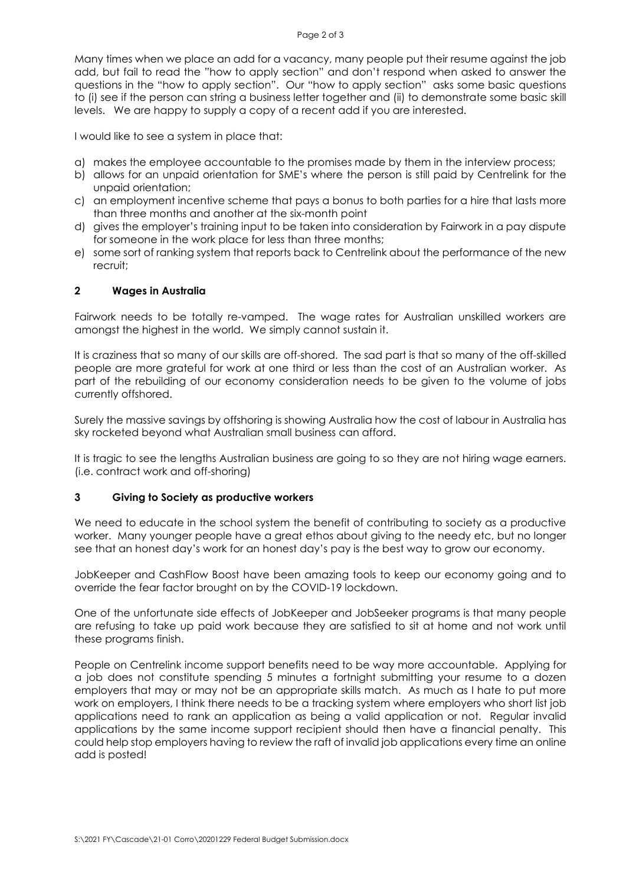Many times when we place an add for a vacancy, many people put their resume against the job add, but fail to read the "how to apply section" and don't respond when asked to answer the questions in the "how to apply section". Our "how to apply section" asks some basic questions to (i) see if the person can string a business letter together and (ii) to demonstrate some basic skill levels. We are happy to supply a copy of a recent add if you are interested.

I would like to see a system in place that:

- a) makes the employee accountable to the promises made by them in the interview process;
- b) allows for an unpaid orientation for SME's where the person is still paid by Centrelink for the unpaid orientation;
- c) an employment incentive scheme that pays a bonus to both parties for a hire that lasts more than three months and another at the six-month point
- d) gives the employer's training input to be taken into consideration by Fairwork in a pay dispute for someone in the work place for less than three months;
- e) some sort of ranking system that reports back to Centrelink about the performance of the new recruit;

### 2 Wages in Australia

Fairwork needs to be totally re-vamped. The wage rates for Australian unskilled workers are amongst the highest in the world. We simply cannot sustain it.

It is craziness that so many of our skills are off-shored. The sad part is that so many of the off-skilled people are more grateful for work at one third or less than the cost of an Australian worker. As part of the rebuilding of our economy consideration needs to be given to the volume of jobs currently offshored.

Surely the massive savings by offshoring is showing Australia how the cost of labour in Australia has sky rocketed beyond what Australian small business can afford.

It is tragic to see the lengths Australian business are going to so they are not hiring wage earners. (i.e. contract work and off-shoring)

### 3 Giving to Society as productive workers

We need to educate in the school system the benefit of contributing to society as a productive worker. Many younger people have a great ethos about giving to the needy etc, but no longer see that an honest day's work for an honest day's pay is the best way to grow our economy.

JobKeeper and CashFlow Boost have been amazing tools to keep our economy going and to override the fear factor brought on by the COVID-19 lockdown.

One of the unfortunate side effects of JobKeeper and JobSeeker programs is that many people are refusing to take up paid work because they are satisfied to sit at home and not work until these programs finish.

People on Centrelink income support benefits need to be way more accountable. Applying for a job does not constitute spending 5 minutes a fortnight submitting your resume to a dozen employers that may or may not be an appropriate skills match. As much as I hate to put more work on employers, I think there needs to be a tracking system where employers who short list job applications need to rank an application as being a valid application or not. Regular invalid applications by the same income support recipient should then have a financial penalty. This could help stop employers having to review the raft of invalid job applications every time an online add is posted!